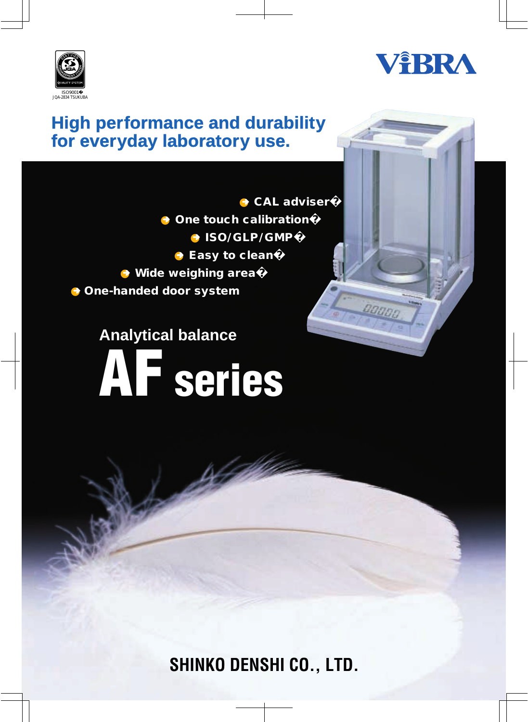



### **High performance and durability for everyday laboratory use.**

**→ CAL adviser → One touch calibration → ISO/GLP/GMP → Easy to clean Wide weighing area� One-handed door system** 

# **Analytical balance AF series**



**SHINKO DENSHI CO., LTD.**